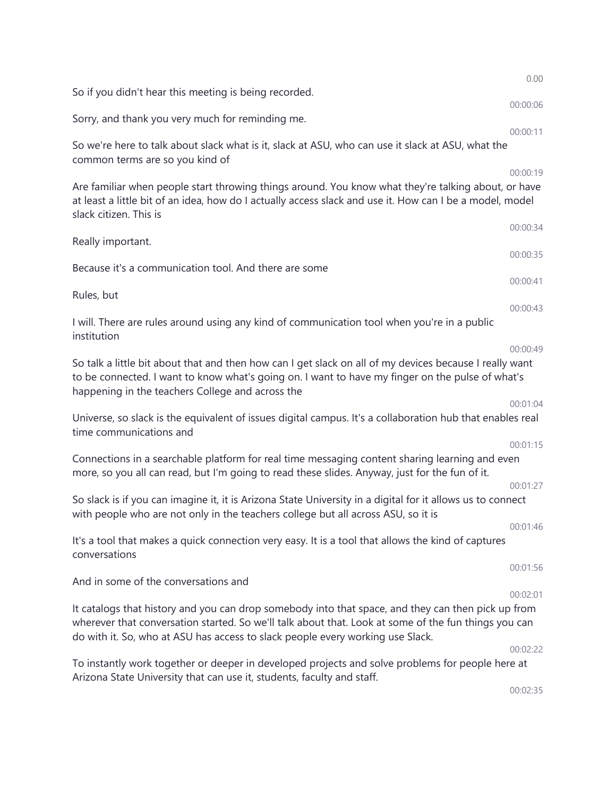|                                                                                                                                                                                                                                                                                              | 0.00     |
|----------------------------------------------------------------------------------------------------------------------------------------------------------------------------------------------------------------------------------------------------------------------------------------------|----------|
| So if you didn't hear this meeting is being recorded.                                                                                                                                                                                                                                        | 00:00:06 |
| Sorry, and thank you very much for reminding me.                                                                                                                                                                                                                                             |          |
| So we're here to talk about slack what is it, slack at ASU, who can use it slack at ASU, what the<br>common terms are so you kind of                                                                                                                                                         | 00:00:11 |
| Are familiar when people start throwing things around. You know what they're talking about, or have<br>at least a little bit of an idea, how do I actually access slack and use it. How can I be a model, model<br>slack citizen. This is                                                    | 00:00:19 |
| Really important.                                                                                                                                                                                                                                                                            | 00:00:34 |
| Because it's a communication tool. And there are some                                                                                                                                                                                                                                        | 00:00:35 |
| Rules, but                                                                                                                                                                                                                                                                                   | 00:00:41 |
| I will. There are rules around using any kind of communication tool when you're in a public<br>institution                                                                                                                                                                                   | 00:00:43 |
| So talk a little bit about that and then how can I get slack on all of my devices because I really want<br>to be connected. I want to know what's going on. I want to have my finger on the pulse of what's<br>happening in the teachers College and across the                              | 00:00:49 |
| Universe, so slack is the equivalent of issues digital campus. It's a collaboration hub that enables real<br>time communications and                                                                                                                                                         | 00:01:04 |
| Connections in a searchable platform for real time messaging content sharing learning and even<br>more, so you all can read, but I'm going to read these slides. Anyway, just for the fun of it.                                                                                             | 00:01:15 |
| So slack is if you can imagine it, it is Arizona State University in a digital for it allows us to connect<br>with people who are not only in the teachers college but all across ASU, so it is                                                                                              | 00:01:27 |
| It's a tool that makes a quick connection very easy. It is a tool that allows the kind of captures<br>conversations                                                                                                                                                                          | 00:01:46 |
| And in some of the conversations and                                                                                                                                                                                                                                                         | 00:01:56 |
|                                                                                                                                                                                                                                                                                              | 00:02:01 |
| It catalogs that history and you can drop somebody into that space, and they can then pick up from<br>wherever that conversation started. So we'll talk about that. Look at some of the fun things you can<br>do with it. So, who at ASU has access to slack people every working use Slack. |          |
| To instantly work together or deeper in developed projects and solve problems for people here at<br>Arizona State University that can use it, students, faculty and staff.                                                                                                                   | 00:02:22 |
|                                                                                                                                                                                                                                                                                              | 00:02:35 |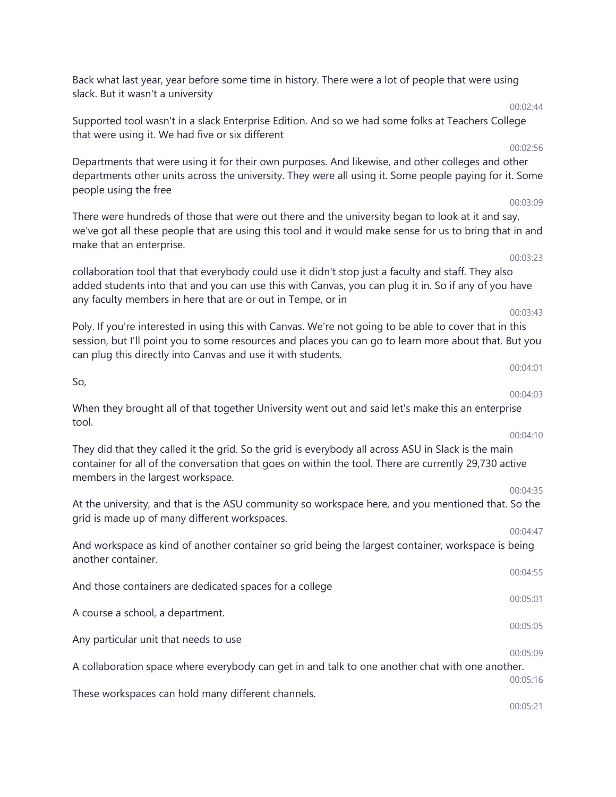Back what last year, year before some time in history. There were a lot of people that were using slack. But it wasn't a university

Supported tool wasn't in a slack Enterprise Edition. And so we had some folks at Teachers College that were using it. We had five or six different

Departments that were using it for their own purposes. And likewise, and other colleges and other departments other units across the university. They were all using it. Some people paying for it. Some people using the free

There were hundreds of those that were out there and the university began to look at it and say, we've got all these people that are using this tool and it would make sense for us to bring that in and make that an enterprise.

collaboration tool that that everybody could use it didn't stop just a faculty and staff. They also added students into that and you can use this with Canvas, you can plug it in. So if any of you have any faculty members in here that are or out in Tempe, or in

Poly. If you're interested in using this with Canvas. We're not going to be able to cover that in this session, but I'll point you to some resources and places you can go to learn more about that. But you can plug this directly into Canvas and use it with students.

When they brought all of that together University went out and said let's make this an enterprise tool.

So,

They did that they called it the grid. So the grid is everybody all across ASU in Slack is the main container for all of the conversation that goes on within the tool. There are currently 29,730 active members in the largest workspace.

At the university, and that is the ASU community so workspace here, and you mentioned that. So the grid is made up of many different workspaces.

And workspace as kind of another container so grid being the largest container, workspace is being another container.

And those containers are dedicated spaces for a college 00:05:01 A course a school, a department. 00:05:05 Any particular unit that needs to use 00:05:09 A collaboration space where everybody can get in and talk to one another chat with one another. 00:05:16 These workspaces can hold many different channels.

00:05:21

## 00:03:23

00:03:43

### 00:04:03

#### 00:04:10

### 00:04:35

00:04:47

00:04:55

# 00:03:09

00:02:44

00:02:56

00:04:01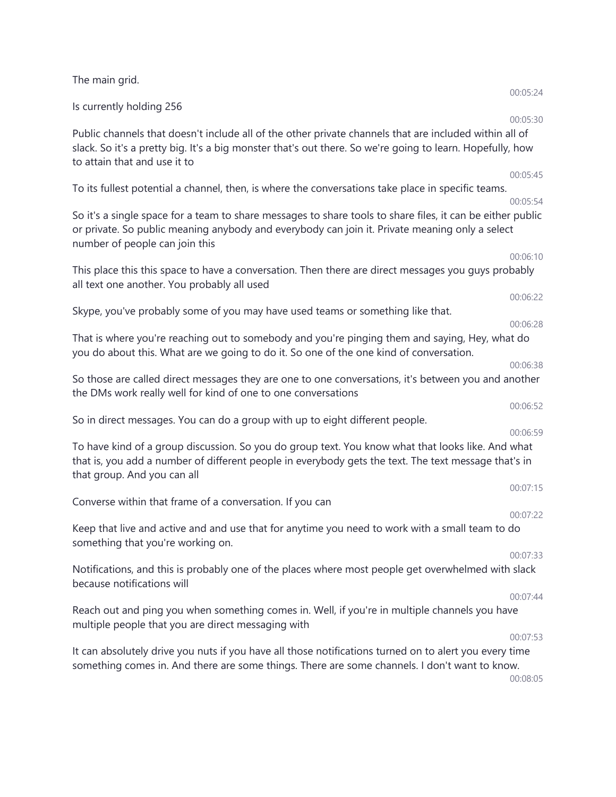| The main grid.                                                                                                                                                                                                                                      |                      |
|-----------------------------------------------------------------------------------------------------------------------------------------------------------------------------------------------------------------------------------------------------|----------------------|
| Is currently holding 256                                                                                                                                                                                                                            | 00:05:24             |
| Public channels that doesn't include all of the other private channels that are included within all of<br>slack. So it's a pretty big. It's a big monster that's out there. So we're going to learn. Hopefully, how<br>to attain that and use it to | 00:05:30             |
| To its fullest potential a channel, then, is where the conversations take place in specific teams.                                                                                                                                                  | 00:05:45<br>00:05:54 |
| So it's a single space for a team to share messages to share tools to share files, it can be either public<br>or private. So public meaning anybody and everybody can join it. Private meaning only a select<br>number of people can join this      |                      |
| This place this this space to have a conversation. Then there are direct messages you guys probably                                                                                                                                                 | 00:06:10             |
| all text one another. You probably all used                                                                                                                                                                                                         | 00:06:22             |
| Skype, you've probably some of you may have used teams or something like that.                                                                                                                                                                      | 00:06:28             |
| That is where you're reaching out to somebody and you're pinging them and saying, Hey, what do<br>you do about this. What are we going to do it. So one of the one kind of conversation.                                                            |                      |
| So those are called direct messages they are one to one conversations, it's between you and another<br>the DMs work really well for kind of one to one conversations                                                                                | 00:06:38             |
| So in direct messages. You can do a group with up to eight different people.                                                                                                                                                                        | 00:06:52             |
| To have kind of a group discussion. So you do group text. You know what that looks like. And what<br>that is, you add a number of different people in everybody gets the text. The text message that's in<br>that group. And you can all            | 00:06:59             |
| Converse within that frame of a conversation. If you can                                                                                                                                                                                            | 00:07:15             |
| Keep that live and active and and use that for anytime you need to work with a small team to do<br>something that you're working on.                                                                                                                | 00:07:22             |
| Notifications, and this is probably one of the places where most people get overwhelmed with slack<br>because notifications will                                                                                                                    | 00:07:33             |
| Reach out and ping you when something comes in. Well, if you're in multiple channels you have<br>multiple people that you are direct messaging with                                                                                                 | 00:07:44             |
| It can absolutely drive you nuts if you have all those notifications turned on to alert you every time<br>something comes in. And there are some things. There are some channels. I don't want to know.                                             | 00:07:53<br>00:08:05 |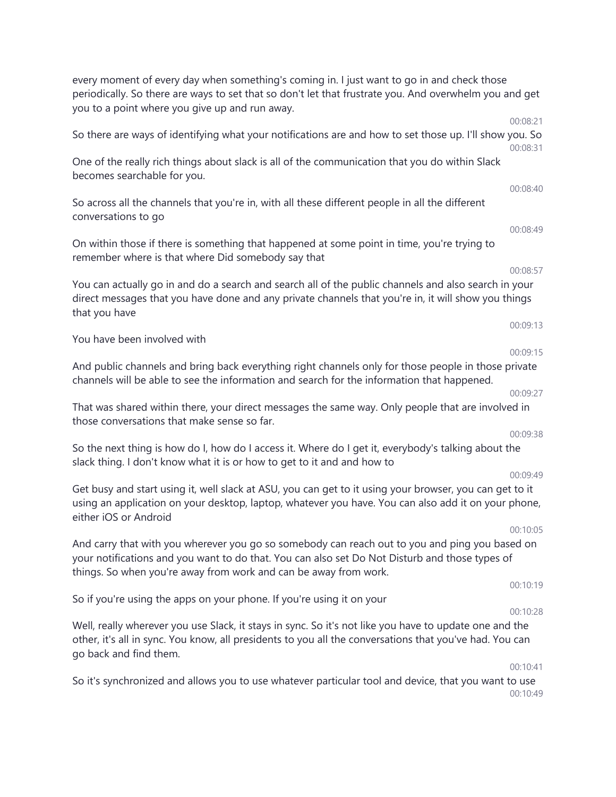every moment of every day when something's coming in. I just want to go in and check those periodically. So there are ways to set that so don't let that frustrate you. And overwhelm you and get you to a point where you give up and run away. 00:08:21 So there are ways of identifying what your notifications are and how to set those up. I'll show you. So 00:08:31 One of the really rich things about slack is all of the communication that you do within Slack becomes searchable for you. 00:08:40 So across all the channels that you're in, with all these different people in all the different conversations to go 00:08:49 On within those if there is something that happened at some point in time, you're trying to remember where is that where Did somebody say that 00:08:57 You can actually go in and do a search and search all of the public channels and also search in your direct messages that you have done and any private channels that you're in, it will show you things that you have 00:09:13 You have been involved with 00:09:15 And public channels and bring back everything right channels only for those people in those private channels will be able to see the information and search for the information that happened. 00:09:27 That was shared within there, your direct messages the same way. Only people that are involved in those conversations that make sense so far. 00:09:38 So the next thing is how do I, how do I access it. Where do I get it, everybody's talking about the slack thing. I don't know what it is or how to get to it and and how to 00:09:49 Get busy and start using it, well slack at ASU, you can get to it using your browser, you can get to it using an application on your desktop, laptop, whatever you have. You can also add it on your phone, either iOS or Android 00:10:05 And carry that with you wherever you go so somebody can reach out to you and ping you based on your notifications and you want to do that. You can also set Do Not Disturb and those types of things. So when you're away from work and can be away from work. 00:10:19 So if you're using the apps on your phone. If you're using it on your 00:10:28 Well, really wherever you use Slack, it stays in sync. So it's not like you have to update one and the other, it's all in sync. You know, all presidents to you all the conversations that you've had. You can go back and find them. 00:10:41 So it's synchronized and allows you to use whatever particular tool and device, that you want to use

00:10:49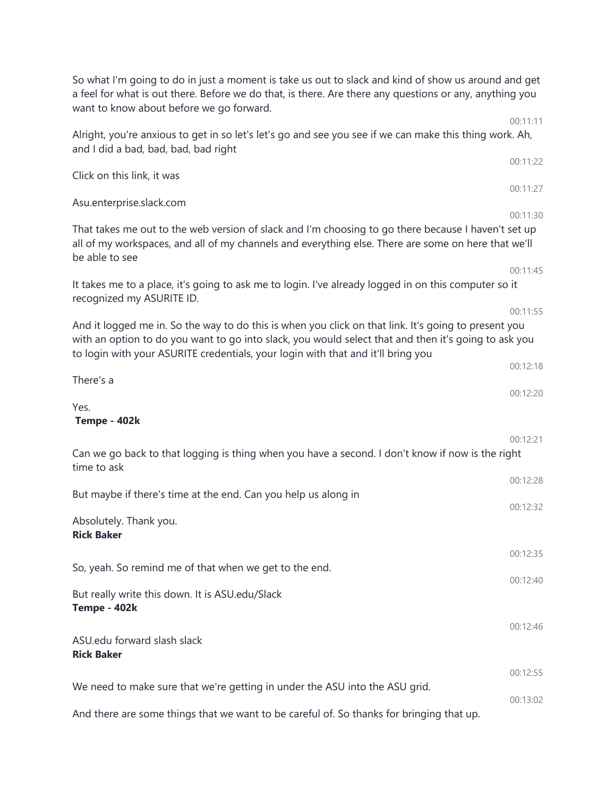| So what I'm going to do in just a moment is take us out to slack and kind of show us around and get<br>a feel for what is out there. Before we do that, is there. Are there any questions or any, anything you<br>want to know about before we go forward.                                                   |                      |
|--------------------------------------------------------------------------------------------------------------------------------------------------------------------------------------------------------------------------------------------------------------------------------------------------------------|----------------------|
| Alright, you're anxious to get in so let's let's go and see you see if we can make this thing work. Ah,<br>and I did a bad, bad, bad, bad right                                                                                                                                                              | 00:11:11             |
| Click on this link, it was                                                                                                                                                                                                                                                                                   | 00:11:22             |
| Asu.enterprise.slack.com                                                                                                                                                                                                                                                                                     | 00:11:27<br>00:11:30 |
| That takes me out to the web version of slack and I'm choosing to go there because I haven't set up<br>all of my workspaces, and all of my channels and everything else. There are some on here that we'll<br>be able to see                                                                                 |                      |
| It takes me to a place, it's going to ask me to login. I've already logged in on this computer so it<br>recognized my ASURITE ID.                                                                                                                                                                            | 00:11:45             |
| 00:11:55<br>And it logged me in. So the way to do this is when you click on that link. It's going to present you<br>with an option to do you want to go into slack, you would select that and then it's going to ask you<br>to login with your ASURITE credentials, your login with that and it'll bring you |                      |
| There's a                                                                                                                                                                                                                                                                                                    | 00:12:18             |
| Yes.<br>Tempe - 402k                                                                                                                                                                                                                                                                                         | 00:12:20             |
| Can we go back to that logging is thing when you have a second. I don't know if now is the right<br>time to ask                                                                                                                                                                                              | 00:12:21             |
| But maybe if there's time at the end. Can you help us along in                                                                                                                                                                                                                                               | 00:12:28<br>00:12:32 |
| Absolutely. Thank you.<br><b>Rick Baker</b>                                                                                                                                                                                                                                                                  |                      |
| So, yeah. So remind me of that when we get to the end.                                                                                                                                                                                                                                                       | 00:12:35             |
| But really write this down. It is ASU.edu/Slack<br>Tempe - 402k                                                                                                                                                                                                                                              | 00:12:40             |
| ASU.edu forward slash slack<br><b>Rick Baker</b>                                                                                                                                                                                                                                                             | 00:12:46             |
| We need to make sure that we're getting in under the ASU into the ASU grid.                                                                                                                                                                                                                                  | 00:12:55             |
| And there are some things that we want to be careful of. So thanks for bringing that up.                                                                                                                                                                                                                     | 00:13:02             |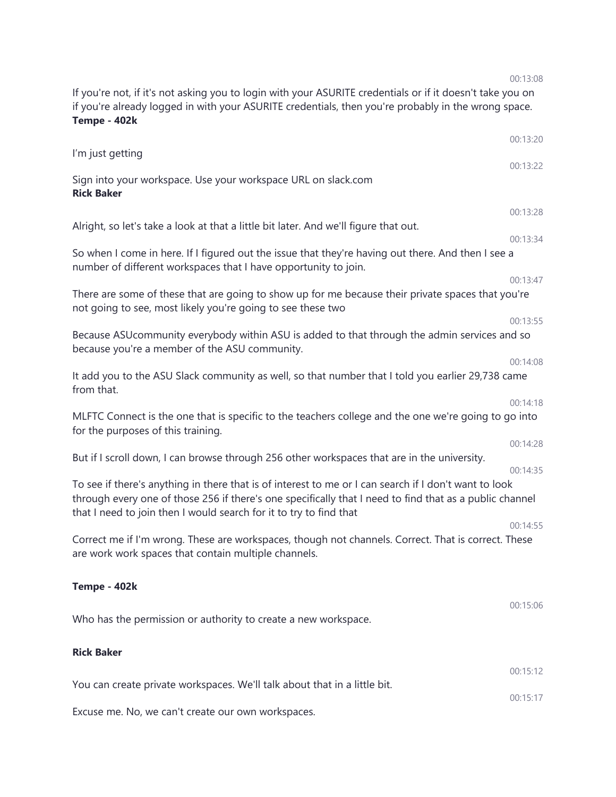If you're not, if it's not asking you to login with your ASURITE credentials or if it doesn't take you on if you're already logged in with your ASURITE credentials, then you're probably in the wrong space. **Tempe - 402k**

|                                                                                                                                                                                                                                                                                        | 00:13:20             |
|----------------------------------------------------------------------------------------------------------------------------------------------------------------------------------------------------------------------------------------------------------------------------------------|----------------------|
| I'm just getting                                                                                                                                                                                                                                                                       | 00:13:22             |
| Sign into your workspace. Use your workspace URL on slack.com<br><b>Rick Baker</b>                                                                                                                                                                                                     |                      |
|                                                                                                                                                                                                                                                                                        | 00:13:28             |
| Alright, so let's take a look at that a little bit later. And we'll figure that out.                                                                                                                                                                                                   | 00:13:34             |
| So when I come in here. If I figured out the issue that they're having out there. And then I see a<br>number of different workspaces that I have opportunity to join.                                                                                                                  |                      |
| There are some of these that are going to show up for me because their private spaces that you're<br>not going to see, most likely you're going to see these two                                                                                                                       | 00:13:47             |
|                                                                                                                                                                                                                                                                                        | 00:13:55             |
| Because ASUcommunity everybody within ASU is added to that through the admin services and so<br>because you're a member of the ASU community.                                                                                                                                          | 00:14:08             |
| It add you to the ASU Slack community as well, so that number that I told you earlier 29,738 came<br>from that.                                                                                                                                                                        |                      |
| MLFTC Connect is the one that is specific to the teachers college and the one we're going to go into<br>for the purposes of this training.                                                                                                                                             | 00:14:18             |
| But if I scroll down, I can browse through 256 other workspaces that are in the university.                                                                                                                                                                                            | 00:14:28<br>00:14:35 |
| To see if there's anything in there that is of interest to me or I can search if I don't want to look<br>through every one of those 256 if there's one specifically that I need to find that as a public channel<br>that I need to join then I would search for it to try to find that |                      |
| Correct me if I'm wrong. These are workspaces, though not channels. Correct. That is correct. These<br>are work work spaces that contain multiple channels.                                                                                                                            | 00:14:55             |
| Tempe - 402k                                                                                                                                                                                                                                                                           |                      |
| Who has the permission or authority to create a new workspace.                                                                                                                                                                                                                         | 00:15:06             |
| <b>Rick Baker</b>                                                                                                                                                                                                                                                                      |                      |
| You can create private workspaces. We'll talk about that in a little bit.                                                                                                                                                                                                              | 00:15:12<br>00:15:17 |
| Excuse me. No, we can't create our own workspaces.                                                                                                                                                                                                                                     |                      |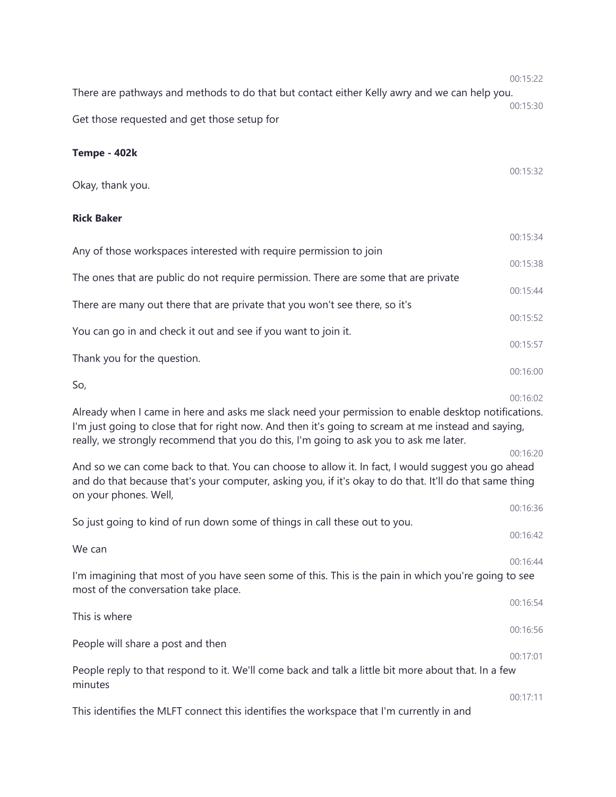There are pathways and methods to do that but contact either Kelly awry and we can help you. 00:15:30 Get those requested and get those setup for

### **Tempe - 402k**

Okay, thank you.

### **Rick Baker**

|                                                                                     | 00:15:34 |
|-------------------------------------------------------------------------------------|----------|
| Any of those workspaces interested with require permission to join                  | 00:15:38 |
| The ones that are public do not require permission. There are some that are private |          |
| There are many out there that are private that you won't see there, so it's         | 00:15:44 |
|                                                                                     | 00:15:52 |
| You can go in and check it out and see if you want to join it.                      | 00:15:57 |
| Thank you for the question.                                                         |          |
|                                                                                     | 00:16:00 |
| So,                                                                                 | 00:16:02 |

Already when I came in here and asks me slack need your permission to enable desktop notifications. I'm just going to close that for right now. And then it's going to scream at me instead and saying, really, we strongly recommend that you do this, I'm going to ask you to ask me later.

And so we can come back to that. You can choose to allow it. In fact, I would suggest you go ahead and do that because that's your computer, asking you, if it's okay to do that. It'll do that same thing on your phones. Well,

00:16:36 So just going to kind of run down some of things in call these out to you. 00:16:42 We can 00:16:44 I'm imagining that most of you have seen some of this. This is the pain in which you're going to see most of the conversation take place. 00:16:54 This is where 00:16:56 People will share a post and then 00:17:01 People reply to that respond to it. We'll come back and talk a little bit more about that. In a few minutes 00:17:11 This identifies the MLFT connect this identifies the workspace that I'm currently in and

00:15:22

00:15:32

00:16:20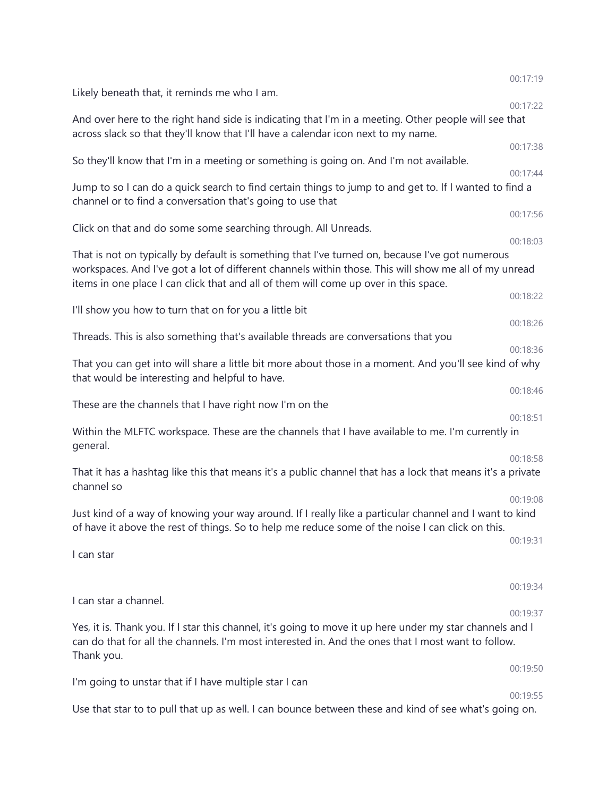|                                                                                                                                                                                                                                                                                                  | 00:17:19 |
|--------------------------------------------------------------------------------------------------------------------------------------------------------------------------------------------------------------------------------------------------------------------------------------------------|----------|
| Likely beneath that, it reminds me who I am.                                                                                                                                                                                                                                                     | 00:17:22 |
| And over here to the right hand side is indicating that I'm in a meeting. Other people will see that<br>across slack so that they'll know that I'll have a calendar icon next to my name.                                                                                                        |          |
| So they'll know that I'm in a meeting or something is going on. And I'm not available.                                                                                                                                                                                                           | 00:17:38 |
|                                                                                                                                                                                                                                                                                                  | 00:17:44 |
| Jump to so I can do a quick search to find certain things to jump to and get to. If I wanted to find a<br>channel or to find a conversation that's going to use that                                                                                                                             |          |
| Click on that and do some some searching through. All Unreads.                                                                                                                                                                                                                                   | 00:17:56 |
| That is not on typically by default is something that I've turned on, because I've got numerous<br>workspaces. And I've got a lot of different channels within those. This will show me all of my unread<br>items in one place I can click that and all of them will come up over in this space. | 00:18:03 |
| I'll show you how to turn that on for you a little bit                                                                                                                                                                                                                                           | 00:18:22 |
|                                                                                                                                                                                                                                                                                                  | 00:18:26 |
| Threads. This is also something that's available threads are conversations that you                                                                                                                                                                                                              | 00:18:36 |
| That you can get into will share a little bit more about those in a moment. And you'll see kind of why<br>that would be interesting and helpful to have.                                                                                                                                         |          |
|                                                                                                                                                                                                                                                                                                  | 00:18:46 |
| These are the channels that I have right now I'm on the                                                                                                                                                                                                                                          | 00:18:51 |
| Within the MLFTC workspace. These are the channels that I have available to me. I'm currently in<br>general.                                                                                                                                                                                     |          |
| That it has a hashtag like this that means it's a public channel that has a lock that means it's a private<br>channel so                                                                                                                                                                         | 00:18:58 |
|                                                                                                                                                                                                                                                                                                  | 00:19:08 |
| Just kind of a way of knowing your way around. If I really like a particular channel and I want to kind<br>of have it above the rest of things. So to help me reduce some of the noise I can click on this.                                                                                      |          |
| I can star                                                                                                                                                                                                                                                                                       | 00:19:31 |
|                                                                                                                                                                                                                                                                                                  |          |
| I can star a channel.                                                                                                                                                                                                                                                                            | 00:19:34 |
|                                                                                                                                                                                                                                                                                                  | 00:19:37 |
| Yes, it is. Thank you. If I star this channel, it's going to move it up here under my star channels and I<br>can do that for all the channels. I'm most interested in. And the ones that I most want to follow.<br>Thank you.                                                                    |          |
|                                                                                                                                                                                                                                                                                                  | 00:19:50 |
| I'm going to unstar that if I have multiple star I can                                                                                                                                                                                                                                           |          |
|                                                                                                                                                                                                                                                                                                  | 00:19:55 |
| Use that star to to pull that up as well. I can bounce between these and kind of see what's going on.                                                                                                                                                                                            |          |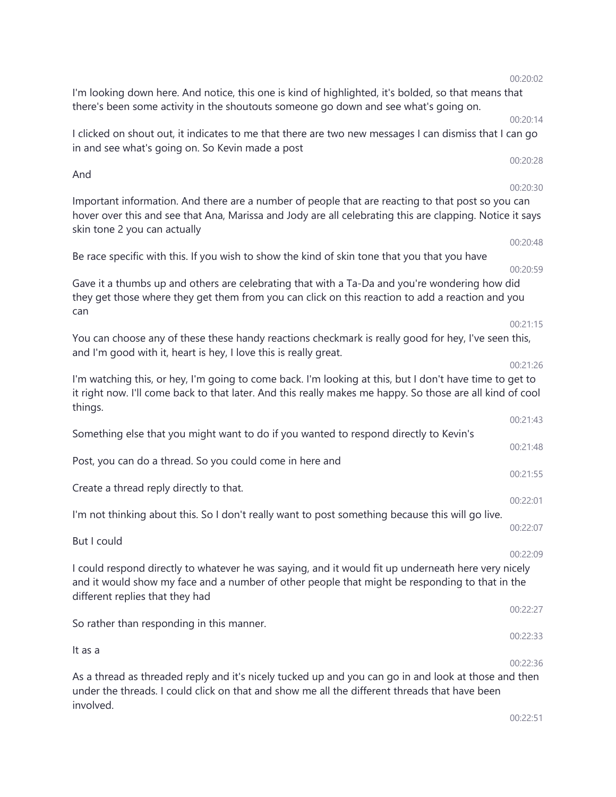00:22:51

# 00:20:59 Gave it a thumbs up and others are celebrating that with a Ta-Da and you're wondering how did they get those where they get them from you can click on this reaction to add a reaction and you 00:21:15 and I'm good with it, heart is hey, I love this is really great. 00:21:26 things. 00:21:43 Something else that you might want to do if you wanted to respond directly to Kevin's 00:21:48 Post, you can do a thread. So you could come in here and 00:21:55 Create a thread reply directly to that. I'm not thinking about this. So I don't really want to post something because this will go live. 00:22:07 But I could I could respond directly to whatever he was saying, and it would fit up underneath here very nicely and it would show my face and a number of other people that might be responding to that in the different replies that they had 00:22:27 So rather than responding in this manner. 00:22:33 00:22:36 As a thread as threaded reply and it's nicely tucked up and you can go in and look at those and then

under the threads. I could click on that and show me all the different threads that have been

Be race specific with this. If you wish to show the kind of skin tone that you that you have

can

You can choose any of these these handy reactions checkmark is really good for hey, I've seen this,

I'm watching this, or hey, I'm going to come back. I'm looking at this, but I don't have time to get to it right now. I'll come back to that later. And this really makes me happy. So those are all kind of cool

in and see what's going on. So Kevin made a post

Important information. And there are a number of people that are reacting to that post so you can hover over this and see that Ana, Marissa and Jody are all celebrating this are clapping. Notice it says

I'm looking down here. And notice, this one is kind of highlighted, it's bolded, so that means that there's been some activity in the shoutouts someone go down and see what's going on.

00:20:14 I clicked on shout out, it indicates to me that there are two new messages I can dismiss that I can go

00:20:02

00:20:28

00:20:30

00:20:48

00:22:01

00:22:09

It as a

involved.

And

skin tone 2 you can actually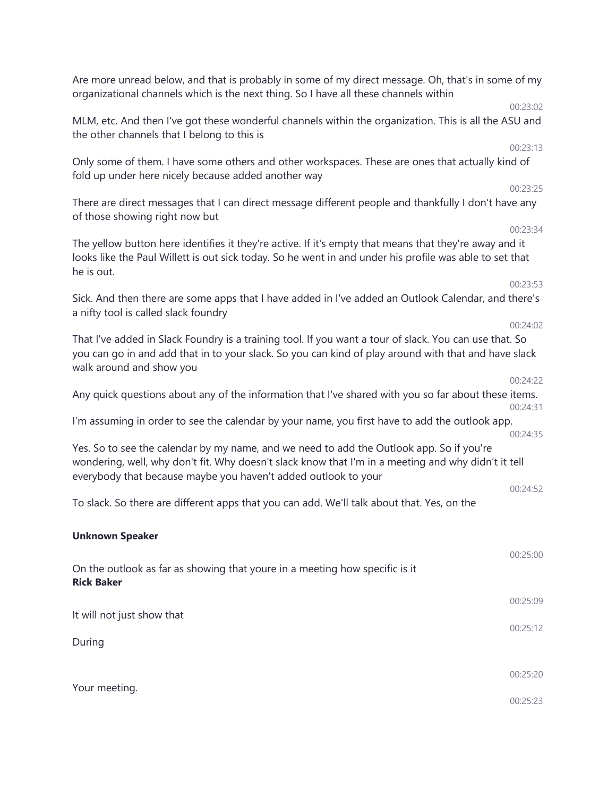Are more unread below, and that is probably in some of my direct message. Oh, that's in some of my organizational channels which is the next thing. So I have all these channels within 00:23:02 MLM, etc. And then I've got these wonderful channels within the organization. This is all the ASU and the other channels that I belong to this is 00:23:13 Only some of them. I have some others and other workspaces. These are ones that actually kind of fold up under here nicely because added another way 00:23:25 There are direct messages that I can direct message different people and thankfully I don't have any of those showing right now but 00:23:34 The yellow button here identifies it they're active. If it's empty that means that they're away and it looks like the Paul Willett is out sick today. So he went in and under his profile was able to set that he is out. 00:23:53 Sick. And then there are some apps that I have added in I've added an Outlook Calendar, and there's a nifty tool is called slack foundry 00:24:02 That I've added in Slack Foundry is a training tool. If you want a tour of slack. You can use that. So you can go in and add that in to your slack. So you can kind of play around with that and have slack walk around and show you 00:24:22 Any quick questions about any of the information that I've shared with you so far about these items. 00:24:31 I'm assuming in order to see the calendar by your name, you first have to add the outlook app. 00:24:35 Yes. So to see the calendar by my name, and we need to add the Outlook app. So if you're wondering, well, why don't fit. Why doesn't slack know that I'm in a meeting and why didn't it tell everybody that because maybe you haven't added outlook to your 00:24:52 To slack. So there are different apps that you can add. We'll talk about that. Yes, on the **Unknown Speaker** 00:25:00 On the outlook as far as showing that youre in a meeting how specific is it **Rick Baker** 00:25:09 It will not just show that 00:25:12 During 00:25:20 Your meeting. 00:25:23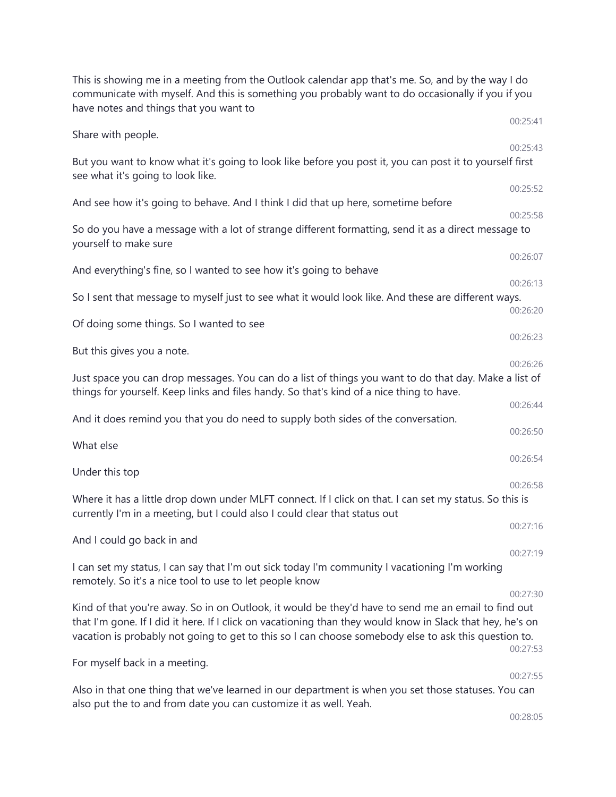This is showing me in a meeting from the Outlook calendar app that's me. So, and by the way I do communicate with myself. And this is something you probably want to do occasionally if you if you have notes and things that you want to 00:25:41 Share with people. 00:25:43 But you want to know what it's going to look like before you post it, you can post it to yourself first see what it's going to look like. 00:25:52 And see how it's going to behave. And I think I did that up here, sometime before 00:25:58 So do you have a message with a lot of strange different formatting, send it as a direct message to yourself to make sure 00:26:07 And everything's fine, so I wanted to see how it's going to behave 00:26:13 So I sent that message to myself just to see what it would look like. And these are different ways. 00:26:20 Of doing some things. So I wanted to see 00:26:23 But this gives you a note. 00:26:26 Just space you can drop messages. You can do a list of things you want to do that day. Make a list of things for yourself. Keep links and files handy. So that's kind of a nice thing to have. 00:26:44 And it does remind you that you do need to supply both sides of the conversation. 00:26:50 What else 00:26:54 Under this top 00:26:58 Where it has a little drop down under MLFT connect. If I click on that. I can set my status. So this is currently I'm in a meeting, but I could also I could clear that status out 00:27:16 And I could go back in and 00:27:19 I can set my status, I can say that I'm out sick today I'm community I vacationing I'm working remotely. So it's a nice tool to use to let people know 00:27:30 Kind of that you're away. So in on Outlook, it would be they'd have to send me an email to find out that I'm gone. If I did it here. If I click on vacationing than they would know in Slack that hey, he's on vacation is probably not going to get to this so I can choose somebody else to ask this question to. 00:27:53 For myself back in a meeting. 00:27:55 Also in that one thing that we've learned in our department is when you set those statuses. You can also put the to and from date you can customize it as well. Yeah. 00:28:05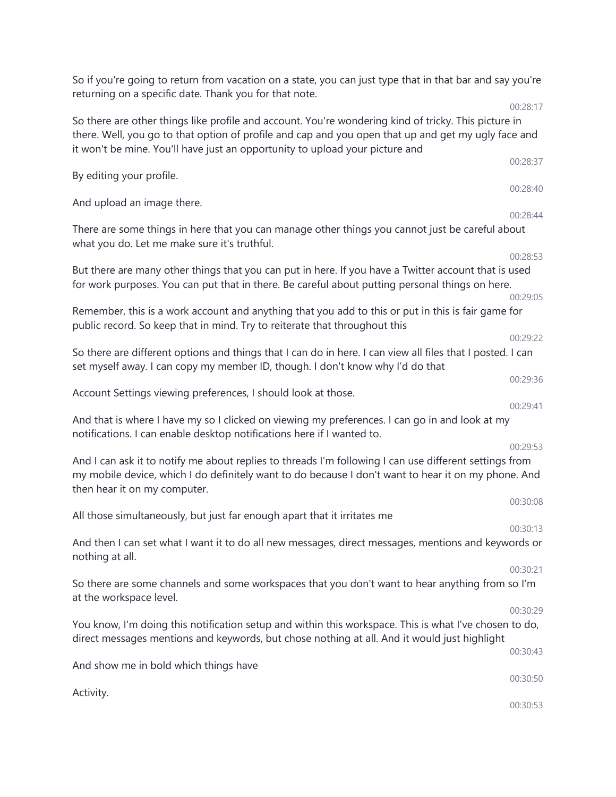| So if you're going to return from vacation on a state, you can just type that in that bar and say you're<br>returning on a specific date. Thank you for that note.                                                                                                                          |          |
|---------------------------------------------------------------------------------------------------------------------------------------------------------------------------------------------------------------------------------------------------------------------------------------------|----------|
|                                                                                                                                                                                                                                                                                             | 00:28:17 |
| So there are other things like profile and account. You're wondering kind of tricky. This picture in<br>there. Well, you go to that option of profile and cap and you open that up and get my ugly face and<br>it won't be mine. You'll have just an opportunity to upload your picture and |          |
| By editing your profile.                                                                                                                                                                                                                                                                    | 00:28:37 |
| And upload an image there.                                                                                                                                                                                                                                                                  | 00:28:40 |
|                                                                                                                                                                                                                                                                                             | 00:28:44 |
| There are some things in here that you can manage other things you cannot just be careful about<br>what you do. Let me make sure it's truthful.                                                                                                                                             |          |
|                                                                                                                                                                                                                                                                                             | 00:28:53 |
| But there are many other things that you can put in here. If you have a Twitter account that is used<br>for work purposes. You can put that in there. Be careful about putting personal things on here.                                                                                     |          |
| Remember, this is a work account and anything that you add to this or put in this is fair game for                                                                                                                                                                                          | 00:29:05 |
| public record. So keep that in mind. Try to reiterate that throughout this                                                                                                                                                                                                                  | 00:29:22 |
| So there are different options and things that I can do in here. I can view all files that I posted. I can<br>set myself away. I can copy my member ID, though. I don't know why I'd do that                                                                                                |          |
|                                                                                                                                                                                                                                                                                             | 00:29:36 |
| Account Settings viewing preferences, I should look at those.                                                                                                                                                                                                                               |          |
| And that is where I have my so I clicked on viewing my preferences. I can go in and look at my<br>notifications. I can enable desktop notifications here if I wanted to.                                                                                                                    | 00:29:41 |
| And I can ask it to notify me about replies to threads I'm following I can use different settings from<br>my mobile device, which I do definitely want to do because I don't want to hear it on my phone. And<br>then hear it on my computer.                                               | 00:29:53 |
|                                                                                                                                                                                                                                                                                             | 00:30:08 |
| All those simultaneously, but just far enough apart that it irritates me                                                                                                                                                                                                                    | 00:30:13 |
| And then I can set what I want it to do all new messages, direct messages, mentions and keywords or<br>nothing at all.                                                                                                                                                                      |          |
| So there are some channels and some workspaces that you don't want to hear anything from so I'm<br>at the workspace level.                                                                                                                                                                  | 00:30:21 |
| You know, I'm doing this notification setup and within this workspace. This is what I've chosen to do,                                                                                                                                                                                      | 00:30:29 |
| direct messages mentions and keywords, but chose nothing at all. And it would just highlight                                                                                                                                                                                                | 00:30:43 |
| And show me in bold which things have                                                                                                                                                                                                                                                       |          |
|                                                                                                                                                                                                                                                                                             | 00:30:50 |
| Activity.                                                                                                                                                                                                                                                                                   | 00:30:53 |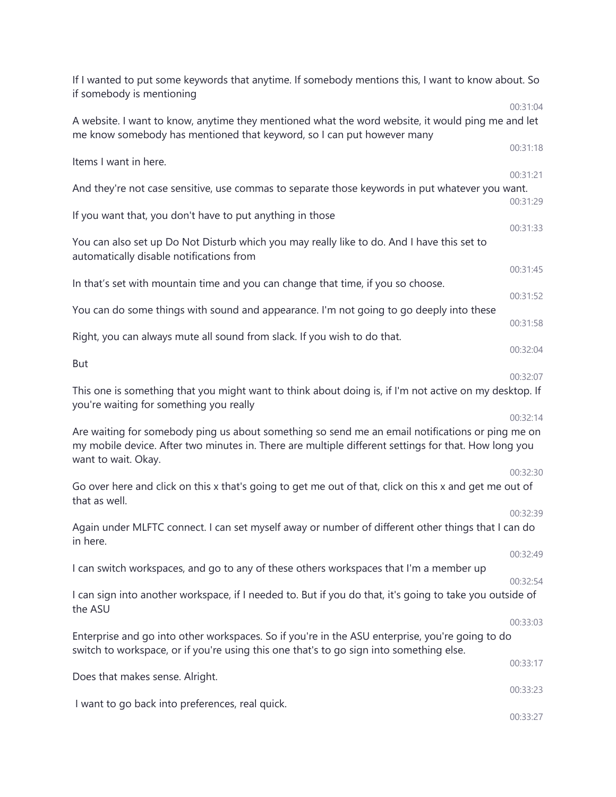| If I wanted to put some keywords that anytime. If somebody mentions this, I want to know about. So<br>if somebody is mentioning                                                                                                 |                      |
|---------------------------------------------------------------------------------------------------------------------------------------------------------------------------------------------------------------------------------|----------------------|
| A website. I want to know, anytime they mentioned what the word website, it would ping me and let<br>me know somebody has mentioned that keyword, so I can put however many                                                     | 00:31:04             |
| Items I want in here.                                                                                                                                                                                                           | 00:31:18             |
| And they're not case sensitive, use commas to separate those keywords in put whatever you want.                                                                                                                                 | 00:31:21             |
| If you want that, you don't have to put anything in those                                                                                                                                                                       | 00:31:29             |
| You can also set up Do Not Disturb which you may really like to do. And I have this set to<br>automatically disable notifications from                                                                                          | 00:31:33             |
| In that's set with mountain time and you can change that time, if you so choose.                                                                                                                                                | 00:31:45             |
| You can do some things with sound and appearance. I'm not going to go deeply into these                                                                                                                                         | 00:31:52<br>00:31:58 |
| Right, you can always mute all sound from slack. If you wish to do that.                                                                                                                                                        |                      |
| <b>But</b>                                                                                                                                                                                                                      | 00:32:04             |
| This one is something that you might want to think about doing is, if I'm not active on my desktop. If<br>you're waiting for something you really                                                                               | 00:32:07             |
| Are waiting for somebody ping us about something so send me an email notifications or ping me on<br>my mobile device. After two minutes in. There are multiple different settings for that. How long you<br>want to wait. Okay. | 00:32:14             |
| Go over here and click on this x that's going to get me out of that, click on this x and get me out of<br>that as well.                                                                                                         | 00:32:30             |
| Again under MLFTC connect. I can set myself away or number of different other things that I can do<br>in here.                                                                                                                  | 00:32:39             |
| I can switch workspaces, and go to any of these others workspaces that I'm a member up                                                                                                                                          | 00:32:49             |
|                                                                                                                                                                                                                                 | 00:32:54             |
| I can sign into another workspace, if I needed to. But if you do that, it's going to take you outside of<br>the ASU                                                                                                             |                      |
| Enterprise and go into other workspaces. So if you're in the ASU enterprise, you're going to do<br>switch to workspace, or if you're using this one that's to go sign into something else.                                      | 00:33:03             |
| Does that makes sense. Alright.                                                                                                                                                                                                 | 00:33:17             |
| I want to go back into preferences, real quick.                                                                                                                                                                                 | 00:33:23             |
|                                                                                                                                                                                                                                 | 00:33:27             |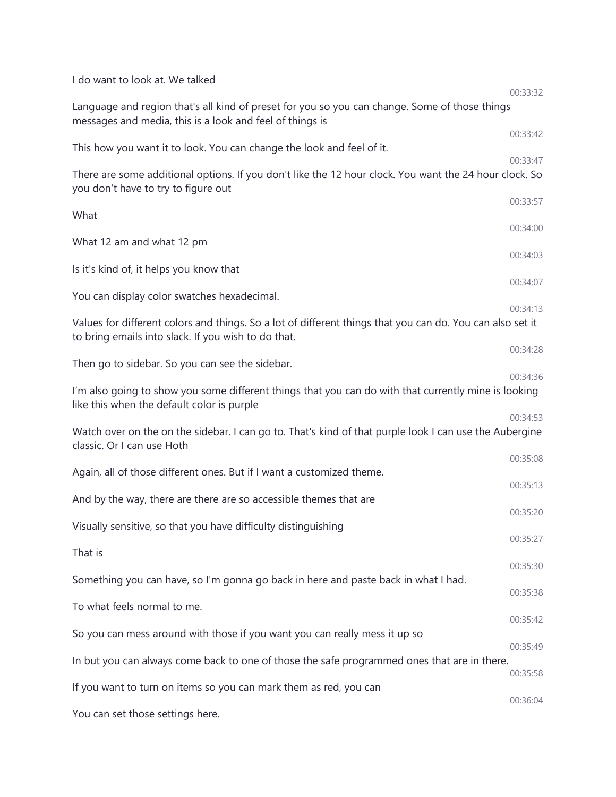| I do want to look at. We talked                                                                                                                                  |                      |
|------------------------------------------------------------------------------------------------------------------------------------------------------------------|----------------------|
| Language and region that's all kind of preset for you so you can change. Some of those things<br>messages and media, this is a look and feel of things is        | 00:33:32             |
| This how you want it to look. You can change the look and feel of it.                                                                                            | 00:33:42             |
| There are some additional options. If you don't like the 12 hour clock. You want the 24 hour clock. So<br>you don't have to try to figure out                    | 00:33:47             |
| What                                                                                                                                                             | 00:33:57             |
| What 12 am and what 12 pm                                                                                                                                        | 00:34:00             |
| Is it's kind of, it helps you know that                                                                                                                          | 00:34:03             |
| You can display color swatches hexadecimal.                                                                                                                      | 00:34:07<br>00:34:13 |
| Values for different colors and things. So a lot of different things that you can do. You can also set it<br>to bring emails into slack. If you wish to do that. |                      |
| Then go to sidebar. So you can see the sidebar.                                                                                                                  | 00:34:28             |
| I'm also going to show you some different things that you can do with that currently mine is looking<br>like this when the default color is purple               | 00:34:36             |
| Watch over on the on the sidebar. I can go to. That's kind of that purple look I can use the Aubergine<br>classic. Or I can use Hoth                             | 00:34:53             |
| Again, all of those different ones. But if I want a customized theme.                                                                                            | 00:35:08             |
| And by the way, there are there are so accessible themes that are                                                                                                | 00:35:13             |
| Visually sensitive, so that you have difficulty distinguishing                                                                                                   | 00:35:20             |
| That is                                                                                                                                                          | 00:35:27<br>00:35:30 |
| Something you can have, so I'm gonna go back in here and paste back in what I had.                                                                               | 00:35:38             |
| To what feels normal to me.                                                                                                                                      | 00:35:42             |
| So you can mess around with those if you want you can really mess it up so                                                                                       | 00:35:49             |
| In but you can always come back to one of those the safe programmed ones that are in there.                                                                      | 00:35:58             |
| If you want to turn on items so you can mark them as red, you can                                                                                                | 00:36:04             |
| You can set those settings here.                                                                                                                                 |                      |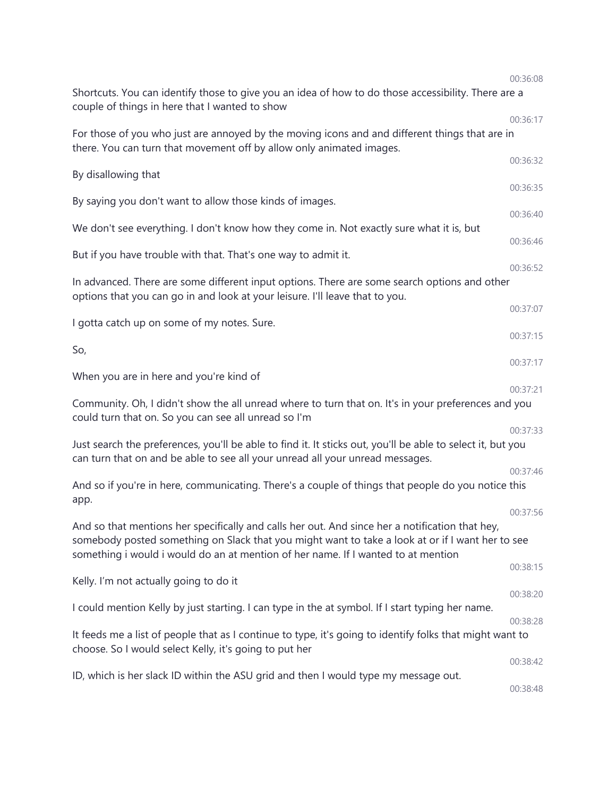|                                                                                                                                                                                                                                                                                          | 00:36:08             |
|------------------------------------------------------------------------------------------------------------------------------------------------------------------------------------------------------------------------------------------------------------------------------------------|----------------------|
| Shortcuts. You can identify those to give you an idea of how to do those accessibility. There are a<br>couple of things in here that I wanted to show                                                                                                                                    |                      |
|                                                                                                                                                                                                                                                                                          | 00:36:17             |
| For those of you who just are annoyed by the moving icons and and different things that are in<br>there. You can turn that movement off by allow only animated images.                                                                                                                   |                      |
| By disallowing that                                                                                                                                                                                                                                                                      | 00:36:32             |
| By saying you don't want to allow those kinds of images.                                                                                                                                                                                                                                 | 00:36:35             |
| We don't see everything. I don't know how they come in. Not exactly sure what it is, but                                                                                                                                                                                                 | 00:36:40<br>00:36:46 |
| But if you have trouble with that. That's one way to admit it.                                                                                                                                                                                                                           | 00:36:52             |
|                                                                                                                                                                                                                                                                                          |                      |
| In advanced. There are some different input options. There are some search options and other<br>options that you can go in and look at your leisure. I'll leave that to you.                                                                                                             |                      |
| I gotta catch up on some of my notes. Sure.                                                                                                                                                                                                                                              | 00:37:07<br>00:37:15 |
| So,                                                                                                                                                                                                                                                                                      | 00:37:17             |
| When you are in here and you're kind of                                                                                                                                                                                                                                                  | 00:37:21             |
| Community. Oh, I didn't show the all unread where to turn that on. It's in your preferences and you<br>could turn that on. So you can see all unread so I'm                                                                                                                              |                      |
|                                                                                                                                                                                                                                                                                          | 00:37:33             |
| Just search the preferences, you'll be able to find it. It sticks out, you'll be able to select it, but you<br>can turn that on and be able to see all your unread all your unread messages.                                                                                             |                      |
|                                                                                                                                                                                                                                                                                          | 00:37:46             |
| And so if you're in here, communicating. There's a couple of things that people do you notice this<br>app.                                                                                                                                                                               |                      |
|                                                                                                                                                                                                                                                                                          | 00:37:56             |
| And so that mentions her specifically and calls her out. And since her a notification that hey,<br>somebody posted something on Slack that you might want to take a look at or if I want her to see<br>something i would i would do an at mention of her name. If I wanted to at mention |                      |
| Kelly. I'm not actually going to do it                                                                                                                                                                                                                                                   | 00:38:15             |
| I could mention Kelly by just starting. I can type in the at symbol. If I start typing her name.                                                                                                                                                                                         | 00:38:20             |
|                                                                                                                                                                                                                                                                                          | 00:38:28             |
| It feeds me a list of people that as I continue to type, it's going to identify folks that might want to<br>choose. So I would select Kelly, it's going to put her                                                                                                                       |                      |
|                                                                                                                                                                                                                                                                                          | 00:38:42             |
| ID, which is her slack ID within the ASU grid and then I would type my message out.                                                                                                                                                                                                      | 00:38:48             |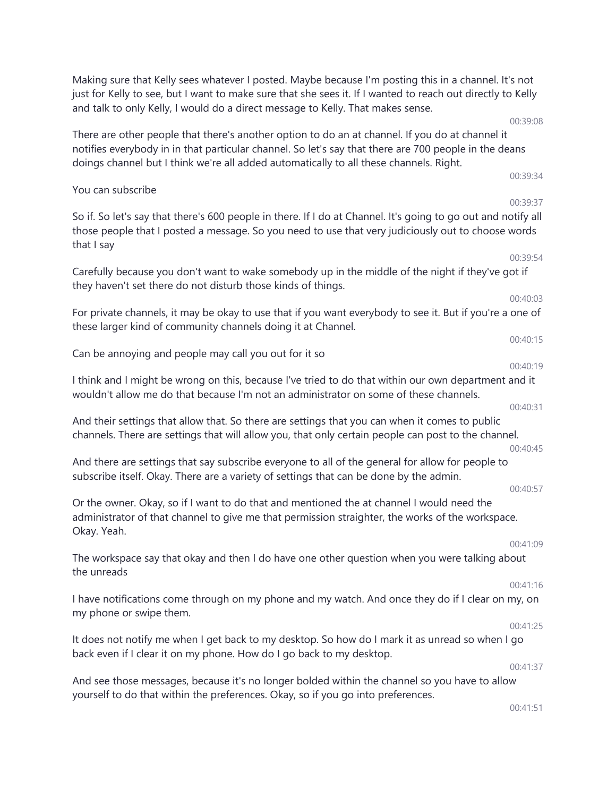just for Kelly to see, but I want to make sure that she sees it. If I wanted to reach out directly to Kelly and talk to only Kelly, I would do a direct message to Kelly. That makes sense. 00:39:08 There are other people that there's another option to do an at channel. If you do at channel it notifies everybody in in that particular channel. So let's say that there are 700 people in the deans doings channel but I think we're all added automatically to all these channels. Right. 00:39:34 You can subscribe 00:39:37 So if. So let's say that there's 600 people in there. If I do at Channel. It's going to go out and notify all those people that I posted a message. So you need to use that very judiciously out to choose words that I say 00:39:54 Carefully because you don't want to wake somebody up in the middle of the night if they've got if they haven't set there do not disturb those kinds of things. 00:40:03 For private channels, it may be okay to use that if you want everybody to see it. But if you're a one of these larger kind of community channels doing it at Channel. 00:40:15 Can be annoying and people may call you out for it so 00:40:19 I think and I might be wrong on this, because I've tried to do that within our own department and it wouldn't allow me do that because I'm not an administrator on some of these channels. 00:40:31 And their settings that allow that. So there are settings that you can when it comes to public channels. There are settings that will allow you, that only certain people can post to the channel. 00:40:45 And there are settings that say subscribe everyone to all of the general for allow for people to subscribe itself. Okay. There are a variety of settings that can be done by the admin. 00:40:57 Or the owner. Okay, so if I want to do that and mentioned the at channel I would need the administrator of that channel to give me that permission straighter, the works of the workspace. Okay. Yeah. 00:41:09 The workspace say that okay and then I do have one other question when you were talking about the unreads 00:41:16 I have notifications come through on my phone and my watch. And once they do if I clear on my, on my phone or swipe them. 00:41:25 It does not notify me when I get back to my desktop. So how do I mark it as unread so when I go back even if I clear it on my phone. How do I go back to my desktop. 00:41:37 And see those messages, because it's no longer bolded within the channel so you have to allow yourself to do that within the preferences. Okay, so if you go into preferences. 00:41:51

Making sure that Kelly sees whatever I posted. Maybe because I'm posting this in a channel. It's not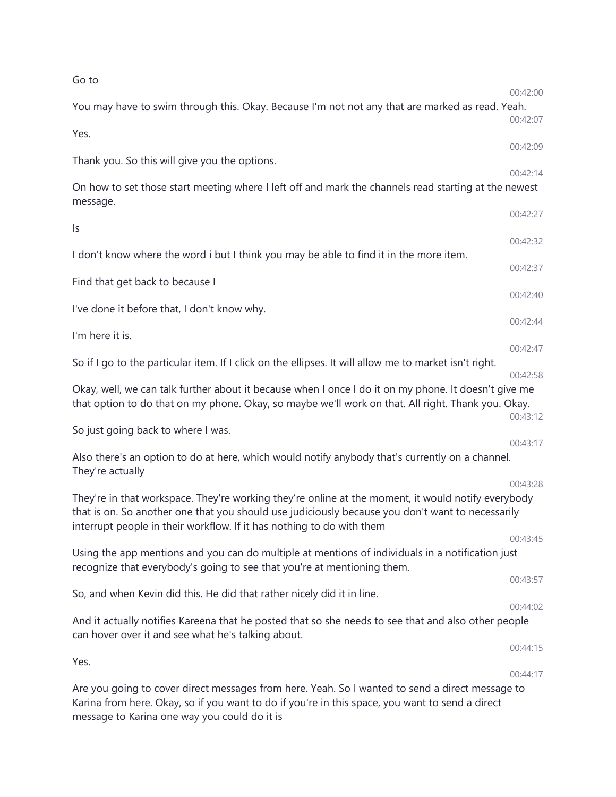| Go to                                                                                                                                                                                                                                                                           |                      |
|---------------------------------------------------------------------------------------------------------------------------------------------------------------------------------------------------------------------------------------------------------------------------------|----------------------|
| You may have to swim through this. Okay. Because I'm not not any that are marked as read. Yeah.                                                                                                                                                                                 | 00:42:00<br>00:42:07 |
| Yes.                                                                                                                                                                                                                                                                            |                      |
| Thank you. So this will give you the options.                                                                                                                                                                                                                                   | 00:42:09             |
| On how to set those start meeting where I left off and mark the channels read starting at the newest<br>message.                                                                                                                                                                | 00:42:14             |
| ls                                                                                                                                                                                                                                                                              | 00:42:27             |
| I don't know where the word i but I think you may be able to find it in the more item.                                                                                                                                                                                          | 00:42:32             |
| Find that get back to because I                                                                                                                                                                                                                                                 | 00:42:37             |
| I've done it before that, I don't know why.                                                                                                                                                                                                                                     | 00:42:40             |
|                                                                                                                                                                                                                                                                                 | 00:42:44             |
| I'm here it is.                                                                                                                                                                                                                                                                 | 00:42:47             |
| So if I go to the particular item. If I click on the ellipses. It will allow me to market isn't right.                                                                                                                                                                          | 00:42:58             |
| Okay, well, we can talk further about it because when I once I do it on my phone. It doesn't give me<br>that option to do that on my phone. Okay, so maybe we'll work on that. All right. Thank you. Okay.                                                                      |                      |
| So just going back to where I was.                                                                                                                                                                                                                                              | 00:43:12             |
| Also there's an option to do at here, which would notify anybody that's currently on a channel.<br>They're actually                                                                                                                                                             | 00:43:17             |
|                                                                                                                                                                                                                                                                                 | 00:43:28             |
| They're in that workspace. They're working they're online at the moment, it would notify everybody<br>that is on. So another one that you should use judiciously because you don't want to necessarily<br>interrupt people in their workflow. If it has nothing to do with them |                      |
|                                                                                                                                                                                                                                                                                 | 00:43:45             |
| Using the app mentions and you can do multiple at mentions of individuals in a notification just<br>recognize that everybody's going to see that you're at mentioning them.                                                                                                     |                      |
| So, and when Kevin did this. He did that rather nicely did it in line.                                                                                                                                                                                                          | 00:43:57             |
|                                                                                                                                                                                                                                                                                 | 00:44:02             |
| And it actually notifies Kareena that he posted that so she needs to see that and also other people<br>can hover over it and see what he's talking about.                                                                                                                       |                      |
| Yes.                                                                                                                                                                                                                                                                            | 00:44:15             |
| Are you going to cover direct messages from here. Yeah. So I wanted to send a direct message to<br>Karina from here. Okay, so if you want to do if you're in this space, you want to send a direct<br>message to Karina one way you could do it is                              | 00:44:17             |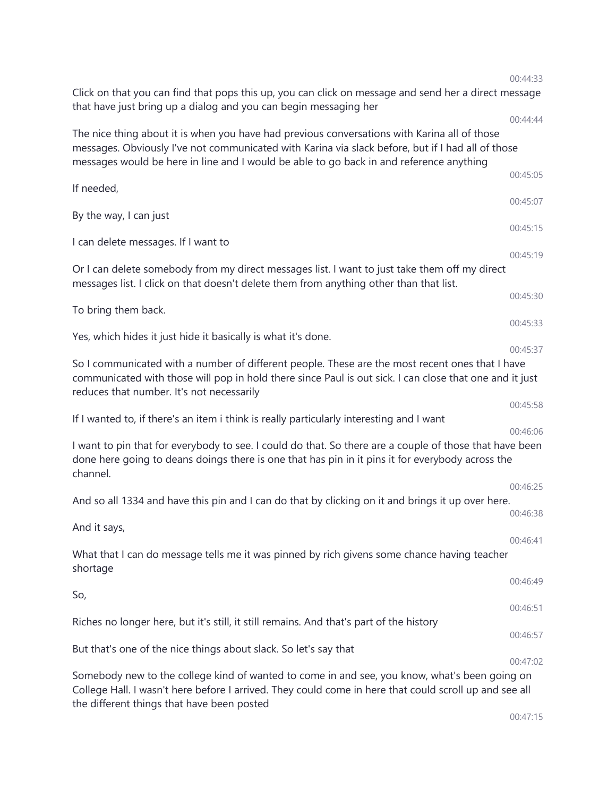|                                                                                                                                                                                                                                                                                              | 00:44:33 |
|----------------------------------------------------------------------------------------------------------------------------------------------------------------------------------------------------------------------------------------------------------------------------------------------|----------|
| Click on that you can find that pops this up, you can click on message and send her a direct message<br>that have just bring up a dialog and you can begin messaging her                                                                                                                     |          |
|                                                                                                                                                                                                                                                                                              | 00:44:44 |
| The nice thing about it is when you have had previous conversations with Karina all of those<br>messages. Obviously I've not communicated with Karina via slack before, but if I had all of those<br>messages would be here in line and I would be able to go back in and reference anything |          |
| If needed,                                                                                                                                                                                                                                                                                   | 00:45:05 |
| By the way, I can just                                                                                                                                                                                                                                                                       | 00:45:07 |
| I can delete messages. If I want to                                                                                                                                                                                                                                                          | 00:45:15 |
| Or I can delete somebody from my direct messages list. I want to just take them off my direct<br>messages list. I click on that doesn't delete them from anything other than that list.                                                                                                      | 00:45:19 |
|                                                                                                                                                                                                                                                                                              | 00:45:30 |
| To bring them back.                                                                                                                                                                                                                                                                          | 00:45:33 |
| Yes, which hides it just hide it basically is what it's done.                                                                                                                                                                                                                                | 00:45:37 |
| So I communicated with a number of different people. These are the most recent ones that I have<br>communicated with those will pop in hold there since Paul is out sick. I can close that one and it just<br>reduces that number. It's not necessarily                                      |          |
| If I wanted to, if there's an item i think is really particularly interesting and I want                                                                                                                                                                                                     | 00:45:58 |
|                                                                                                                                                                                                                                                                                              | 00:46:06 |
| I want to pin that for everybody to see. I could do that. So there are a couple of those that have been<br>done here going to deans doings there is one that has pin in it pins it for everybody across the<br>channel.                                                                      |          |
|                                                                                                                                                                                                                                                                                              | 00:46:25 |
| And so all 1334 and have this pin and I can do that by clicking on it and brings it up over here.                                                                                                                                                                                            | 00:46:38 |
| And it says,                                                                                                                                                                                                                                                                                 |          |
| What that I can do message tells me it was pinned by rich givens some chance having teacher<br>shortage                                                                                                                                                                                      | 00:46:41 |
| So,                                                                                                                                                                                                                                                                                          | 00:46:49 |
|                                                                                                                                                                                                                                                                                              | 00:46:51 |
| Riches no longer here, but it's still, it still remains. And that's part of the history                                                                                                                                                                                                      | 00:46:57 |
| But that's one of the nice things about slack. So let's say that                                                                                                                                                                                                                             | 00:47:02 |
| Somebody new to the college kind of wanted to come in and see, you know, what's been going on                                                                                                                                                                                                |          |
| College Hall. I wasn't here before I arrived. They could come in here that could scroll up and see all<br>the different things that have been posted                                                                                                                                         |          |

00:47:15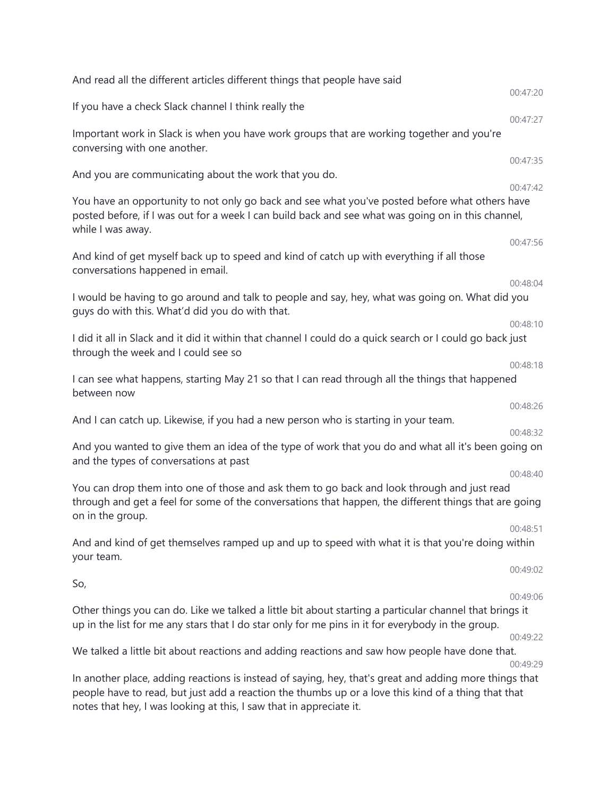| And read all the different articles different things that people have said                                                                                                                                                |          |
|---------------------------------------------------------------------------------------------------------------------------------------------------------------------------------------------------------------------------|----------|
|                                                                                                                                                                                                                           | 00:47:20 |
| If you have a check Slack channel I think really the                                                                                                                                                                      | 00:47:27 |
| Important work in Slack is when you have work groups that are working together and you're<br>conversing with one another.                                                                                                 |          |
| And you are communicating about the work that you do.                                                                                                                                                                     | 00:47:35 |
|                                                                                                                                                                                                                           | 00:47:42 |
| You have an opportunity to not only go back and see what you've posted before what others have<br>posted before, if I was out for a week I can build back and see what was going on in this channel,<br>while I was away. |          |
| And kind of get myself back up to speed and kind of catch up with everything if all those                                                                                                                                 | 00:47:56 |
| conversations happened in email.                                                                                                                                                                                          |          |
|                                                                                                                                                                                                                           | 00:48:04 |
| I would be having to go around and talk to people and say, hey, what was going on. What did you<br>guys do with this. What'd did you do with that.                                                                        |          |
|                                                                                                                                                                                                                           | 00:48:10 |
| I did it all in Slack and it did it within that channel I could do a quick search or I could go back just<br>through the week and I could see so                                                                          | 00:48:18 |
| I can see what happens, starting May 21 so that I can read through all the things that happened<br>between now                                                                                                            |          |
| And I can catch up. Likewise, if you had a new person who is starting in your team.                                                                                                                                       | 00:48:26 |
|                                                                                                                                                                                                                           | 00:48:32 |
| And you wanted to give them an idea of the type of work that you do and what all it's been going on<br>and the types of conversations at past                                                                             |          |
| You can drop them into one of those and ask them to go back and look through and just read                                                                                                                                | 00:48:40 |
| through and get a feel for some of the conversations that happen, the different things that are going<br>on in the group.                                                                                                 |          |
|                                                                                                                                                                                                                           | 00:48:51 |
| And and kind of get themselves ramped up and up to speed with what it is that you're doing within<br>your team.                                                                                                           |          |
| So,                                                                                                                                                                                                                       | 00:49:02 |
|                                                                                                                                                                                                                           | 00:49:06 |
| Other things you can do. Like we talked a little bit about starting a particular channel that brings it<br>up in the list for me any stars that I do star only for me pins in it for everybody in the group.              |          |
|                                                                                                                                                                                                                           | 00:49:22 |
| We talked a little bit about reactions and adding reactions and saw how people have done that.                                                                                                                            | 00:49:29 |
| In another place, adding reactions is instead of saying, hey, that's great and adding more things that<br>people have to read, but just add a reaction the thumbs up or a love this kind of a thing that that             |          |

notes that hey, I was looking at this, I saw that in appreciate it.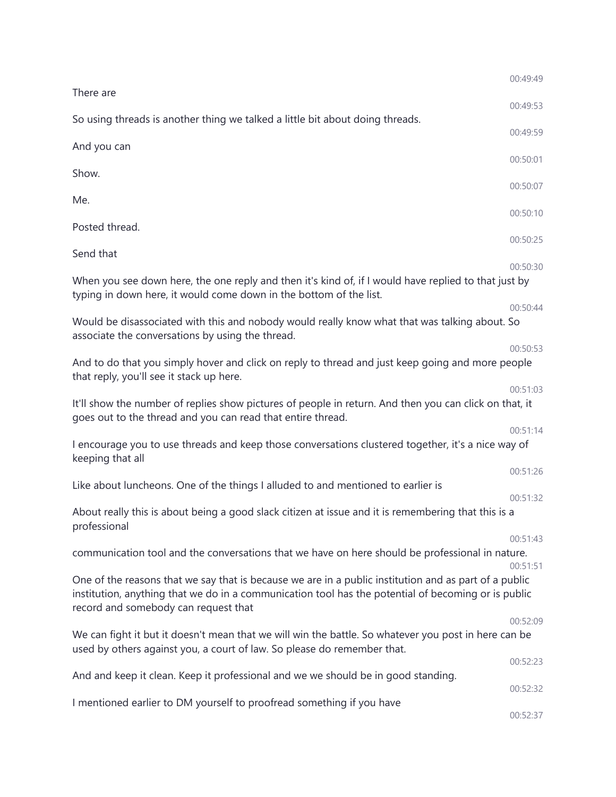|                                                                                                                                                                                                                                                      | 00:49:49 |
|------------------------------------------------------------------------------------------------------------------------------------------------------------------------------------------------------------------------------------------------------|----------|
| There are                                                                                                                                                                                                                                            | 00:49:53 |
| So using threads is another thing we talked a little bit about doing threads.                                                                                                                                                                        | 00:49:59 |
| And you can                                                                                                                                                                                                                                          | 00:50:01 |
| Show.                                                                                                                                                                                                                                                |          |
| Me.                                                                                                                                                                                                                                                  | 00:50:07 |
| Posted thread.                                                                                                                                                                                                                                       | 00:50:10 |
| Send that                                                                                                                                                                                                                                            | 00:50:25 |
|                                                                                                                                                                                                                                                      | 00:50:30 |
| When you see down here, the one reply and then it's kind of, if I would have replied to that just by<br>typing in down here, it would come down in the bottom of the list.                                                                           |          |
|                                                                                                                                                                                                                                                      | 00:50:44 |
| Would be disassociated with this and nobody would really know what that was talking about. So<br>associate the conversations by using the thread.                                                                                                    |          |
| And to do that you simply hover and click on reply to thread and just keep going and more people<br>that reply, you'll see it stack up here.                                                                                                         | 00:50:53 |
|                                                                                                                                                                                                                                                      | 00:51:03 |
| It'll show the number of replies show pictures of people in return. And then you can click on that, it<br>goes out to the thread and you can read that entire thread.                                                                                |          |
| I encourage you to use threads and keep those conversations clustered together, it's a nice way of<br>keeping that all                                                                                                                               | 00:51:14 |
|                                                                                                                                                                                                                                                      | 00:51:26 |
| Like about luncheons. One of the things I alluded to and mentioned to earlier is                                                                                                                                                                     | 00:51:32 |
| About really this is about being a good slack citizen at issue and it is remembering that this is a<br>professional                                                                                                                                  |          |
| communication tool and the conversations that we have on here should be professional in nature.                                                                                                                                                      | 00:51:43 |
|                                                                                                                                                                                                                                                      | 00:51:51 |
| One of the reasons that we say that is because we are in a public institution and as part of a public<br>institution, anything that we do in a communication tool has the potential of becoming or is public<br>record and somebody can request that |          |
| We can fight it but it doesn't mean that we will win the battle. So whatever you post in here can be                                                                                                                                                 | 00:52:09 |
| used by others against you, a court of law. So please do remember that.                                                                                                                                                                              |          |
| And and keep it clean. Keep it professional and we we should be in good standing.                                                                                                                                                                    | 00:52:23 |
|                                                                                                                                                                                                                                                      | 00:52:32 |
| I mentioned earlier to DM yourself to proofread something if you have                                                                                                                                                                                | 00:52:37 |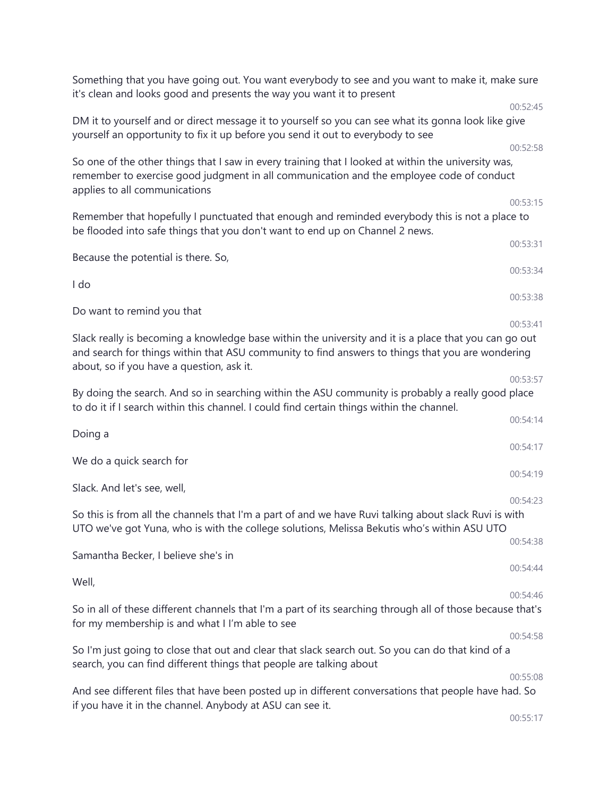| Something that you have going out. You want everybody to see and you want to make it, make sure<br>it's clean and looks good and presents the way you want it to present                                                                                           |          |
|--------------------------------------------------------------------------------------------------------------------------------------------------------------------------------------------------------------------------------------------------------------------|----------|
|                                                                                                                                                                                                                                                                    | 00:52:45 |
| DM it to yourself and or direct message it to yourself so you can see what its gonna look like give<br>yourself an opportunity to fix it up before you send it out to everybody to see                                                                             |          |
| So one of the other things that I saw in every training that I looked at within the university was,<br>remember to exercise good judgment in all communication and the employee code of conduct<br>applies to all communications                                   | 00:52:58 |
|                                                                                                                                                                                                                                                                    | 00:53:15 |
| Remember that hopefully I punctuated that enough and reminded everybody this is not a place to<br>be flooded into safe things that you don't want to end up on Channel 2 news.                                                                                     |          |
| Because the potential is there. So,                                                                                                                                                                                                                                | 00:53:31 |
| I do                                                                                                                                                                                                                                                               | 00:53:34 |
| Do want to remind you that                                                                                                                                                                                                                                         | 00:53:38 |
| 00:53:41<br>Slack really is becoming a knowledge base within the university and it is a place that you can go out<br>and search for things within that ASU community to find answers to things that you are wondering<br>about, so if you have a question, ask it. |          |
|                                                                                                                                                                                                                                                                    | 00:53:57 |
| By doing the search. And so in searching within the ASU community is probably a really good place<br>to do it if I search within this channel. I could find certain things within the channel.                                                                     |          |
| Doing a                                                                                                                                                                                                                                                            | 00:54:14 |
| We do a quick search for                                                                                                                                                                                                                                           | 00:54:17 |
| Slack. And let's see, well,                                                                                                                                                                                                                                        | 00:54:19 |
|                                                                                                                                                                                                                                                                    | 00:54:23 |
| So this is from all the channels that I'm a part of and we have Ruvi talking about slack Ruvi is with<br>UTO we've got Yuna, who is with the college solutions, Melissa Bekutis who's within ASU UTO                                                               |          |
| Samantha Becker, I believe she's in                                                                                                                                                                                                                                | 00:54:38 |
| Well,                                                                                                                                                                                                                                                              | 00:54:44 |
| So in all of these different channels that I'm a part of its searching through all of those because that's<br>for my membership is and what I I'm able to see                                                                                                      | 00:54:46 |
|                                                                                                                                                                                                                                                                    | 00:54:58 |
| So I'm just going to close that out and clear that slack search out. So you can do that kind of a<br>search, you can find different things that people are talking about                                                                                           |          |
|                                                                                                                                                                                                                                                                    | 00:55:08 |
| And see different files that have been posted up in different conversations that people have had. So<br>if you have it in the channel. Anybody at ASU can see it.                                                                                                  |          |
|                                                                                                                                                                                                                                                                    | 00:55:17 |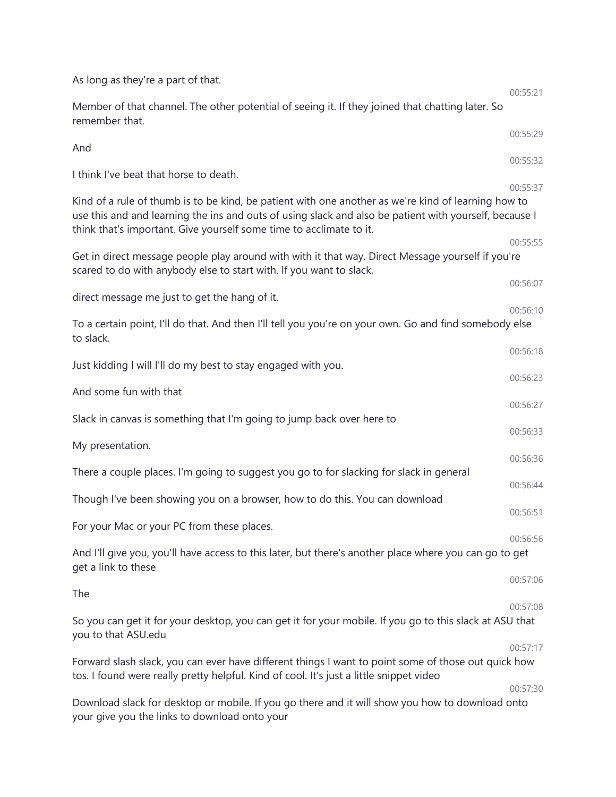| As long as they're a part of that.                                                                                                                                                                                                                                                   |                      |
|--------------------------------------------------------------------------------------------------------------------------------------------------------------------------------------------------------------------------------------------------------------------------------------|----------------------|
| Member of that channel. The other potential of seeing it. If they joined that chatting later. So<br>remember that.                                                                                                                                                                   | 00:55:21             |
| And                                                                                                                                                                                                                                                                                  | 00:55:29             |
| I think I've beat that horse to death.                                                                                                                                                                                                                                               | 00:55:32<br>00:55:37 |
| Kind of a rule of thumb is to be kind, be patient with one another as we're kind of learning how to<br>use this and and learning the ins and outs of using slack and also be patient with yourself, because I<br>think that's important. Give yourself some time to acclimate to it. |                      |
| Get in direct message people play around with with it that way. Direct Message yourself if you're<br>scared to do with anybody else to start with. If you want to slack.                                                                                                             | 00:55:55             |
| direct message me just to get the hang of it.                                                                                                                                                                                                                                        | 00:56:07             |
| To a certain point, I'll do that. And then I'll tell you you're on your own. Go and find somebody else<br>to slack.                                                                                                                                                                  | 00:56:10             |
| Just kidding I will I'll do my best to stay engaged with you.                                                                                                                                                                                                                        | 00:56:18             |
|                                                                                                                                                                                                                                                                                      | 00:56:23             |
| And some fun with that                                                                                                                                                                                                                                                               | 00:56:27             |
| Slack in canvas is something that I'm going to jump back over here to                                                                                                                                                                                                                | 00:56:33             |
| My presentation.                                                                                                                                                                                                                                                                     | 00:56:36             |
| There a couple places. I'm going to suggest you go to for slacking for slack in general                                                                                                                                                                                              | 00:56:44             |
| Though I've been showing you on a browser, how to do this. You can download                                                                                                                                                                                                          | 00:56:51             |
| For your Mac or your PC from these places.                                                                                                                                                                                                                                           | 00:56:56             |
| And I'll give you, you'll have access to this later, but there's another place where you can go to get<br>get a link to these                                                                                                                                                        |                      |
| The                                                                                                                                                                                                                                                                                  | 00:57:06             |
| So you can get it for your desktop, you can get it for your mobile. If you go to this slack at ASU that<br>you to that ASU.edu                                                                                                                                                       | 00:57:08             |
| Forward slash slack, you can ever have different things I want to point some of those out quick how<br>tos. I found were really pretty helpful. Kind of cool. It's just a little snippet video                                                                                       | 00:57:17             |
| Download slack for desktop or mobile. If you go there and it will show you how to download onto<br>your give you the links to download onto your                                                                                                                                     | 00:57:30             |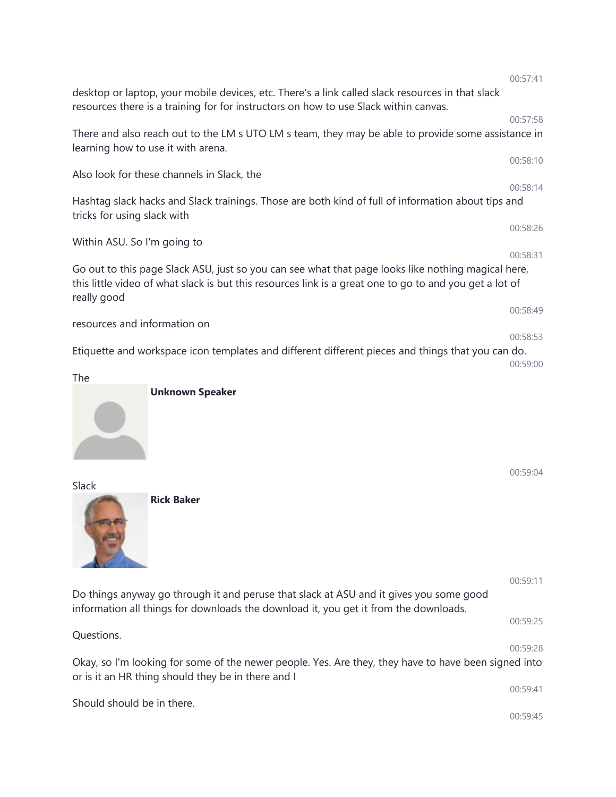|                                                                                                                                                                                                                              | 00:57:41 |
|------------------------------------------------------------------------------------------------------------------------------------------------------------------------------------------------------------------------------|----------|
| desktop or laptop, your mobile devices, etc. There's a link called slack resources in that slack<br>resources there is a training for for instructors on how to use Slack within canvas.                                     |          |
| There and also reach out to the LM s UTO LM s team, they may be able to provide some assistance in<br>learning how to use it with arena.                                                                                     | 00:57:58 |
| Also look for these channels in Slack, the                                                                                                                                                                                   | 00:58:10 |
| Hashtag slack hacks and Slack trainings. Those are both kind of full of information about tips and<br>tricks for using slack with                                                                                            | 00:58:14 |
| Within ASU. So I'm going to                                                                                                                                                                                                  | 00:58:26 |
| Go out to this page Slack ASU, just so you can see what that page looks like nothing magical here,<br>this little video of what slack is but this resources link is a great one to go to and you get a lot of<br>really good | 00:58:31 |
| resources and information on                                                                                                                                                                                                 | 00:58:49 |
| Etiquette and workspace icon templates and different different pieces and things that you can do.                                                                                                                            | 00:58:53 |
| The                                                                                                                                                                                                                          | 00:59:00 |
| <b>Unknown Speaker</b><br>Slack<br><b>Rick Baker</b>                                                                                                                                                                         | 00:59:04 |
| Do things anyway go through it and peruse that slack at ASU and it gives you some good                                                                                                                                       | 00:59:11 |
| information all things for downloads the download it, you get it from the downloads.                                                                                                                                         | 00:59:25 |
| Questions.                                                                                                                                                                                                                   | 00:59:28 |
| Okay, so I'm looking for some of the newer people. Yes. Are they, they have to have been signed into<br>or is it an HR thing should they be in there and I                                                                   |          |
| Should should be in there.                                                                                                                                                                                                   | 00:59:41 |
|                                                                                                                                                                                                                              | 00:59:45 |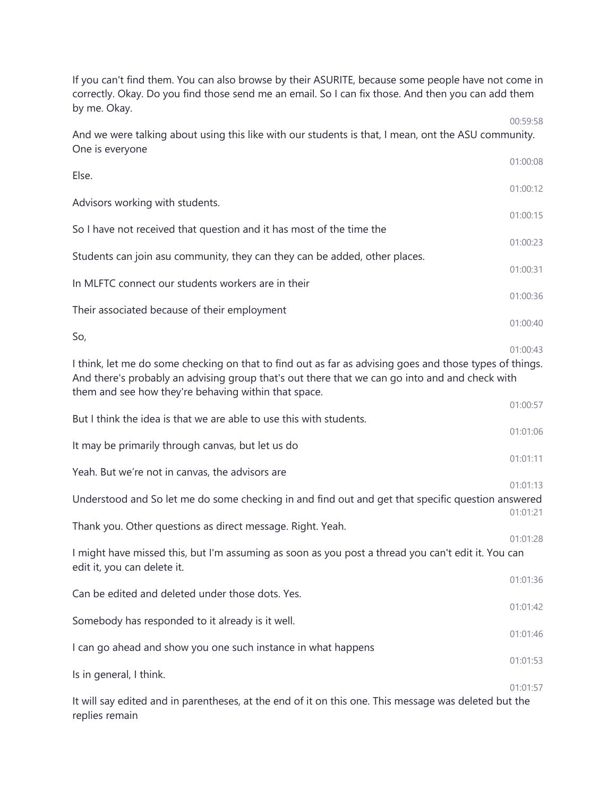If you can't find them. You can also browse by their ASURITE, because some people have not come in correctly. Okay. Do you find those send me an email. So I can fix those. And then you can add them by me. Okay.

00:59:58

And we were talking about using this like with our students is that, I mean, ont the ASU community. One is everyone

|                                                                                                                                                                                                                                                                   | 01:00:08             |
|-------------------------------------------------------------------------------------------------------------------------------------------------------------------------------------------------------------------------------------------------------------------|----------------------|
| Else.                                                                                                                                                                                                                                                             | 01:00:12             |
| Advisors working with students.                                                                                                                                                                                                                                   | 01:00:15             |
| So I have not received that question and it has most of the time the                                                                                                                                                                                              |                      |
| Students can join asu community, they can they can be added, other places.                                                                                                                                                                                        | 01:00:23             |
| In MLFTC connect our students workers are in their                                                                                                                                                                                                                | 01:00:31             |
| Their associated because of their employment                                                                                                                                                                                                                      | 01:00:36             |
| So,                                                                                                                                                                                                                                                               | 01:00:40             |
| I think, let me do some checking on that to find out as far as advising goes and those types of things.<br>And there's probably an advising group that's out there that we can go into and and check with<br>them and see how they're behaving within that space. | 01:00:43             |
| But I think the idea is that we are able to use this with students.                                                                                                                                                                                               | 01:00:57             |
| It may be primarily through canvas, but let us do                                                                                                                                                                                                                 | 01:01:06             |
| Yeah. But we're not in canvas, the advisors are                                                                                                                                                                                                                   | 01:01:11             |
| Understood and So let me do some checking in and find out and get that specific question answered                                                                                                                                                                 | 01:01:13<br>01:01:21 |
| Thank you. Other questions as direct message. Right. Yeah.                                                                                                                                                                                                        | 01:01:28             |
| I might have missed this, but I'm assuming as soon as you post a thread you can't edit it. You can<br>edit it, you can delete it.                                                                                                                                 |                      |
| Can be edited and deleted under those dots. Yes.                                                                                                                                                                                                                  | 01:01:36             |
|                                                                                                                                                                                                                                                                   | 01:01:42             |
| Somebody has responded to it already is it well.                                                                                                                                                                                                                  | 01:01:46             |
| I can go ahead and show you one such instance in what happens                                                                                                                                                                                                     | 01:01:53             |
| Is in general, I think.                                                                                                                                                                                                                                           | 01:01:57             |
| It will say edited and in parentheses, at the end of it on this one. This message was deleted but the<br>replies remain                                                                                                                                           |                      |